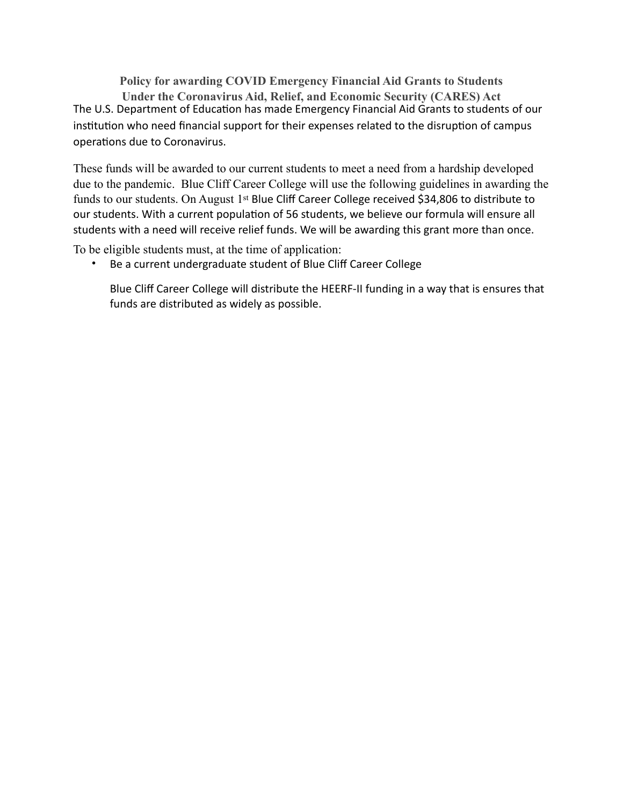**Policy for awarding COVID Emergency Financial Aid Grants to Students Under the Coronavirus Aid, Relief, and Economic Security (CARES) Act** The U.S. Department of Education has made Emergency Financial Aid Grants to students of our institution who need financial support for their expenses related to the disruption of campus operations due to Coronavirus.

These funds will be awarded to our current students to meet a need from a hardship developed due to the pandemic. Blue Cliff Career College will use the following guidelines in awarding the funds to our students. On August 1<sup>st</sup> Blue Cliff Career College received \$34,806 to distribute to our students. With a current population of 56 students, we believe our formula will ensure all students with a need will receive relief funds. We will be awarding this grant more than once.

To be eligible students must, at the time of application:

• Be a current undergraduate student of Blue Cliff Career College

Blue Cliff Career College will distribute the HEERF-II funding in a way that is ensures that funds are distributed as widely as possible.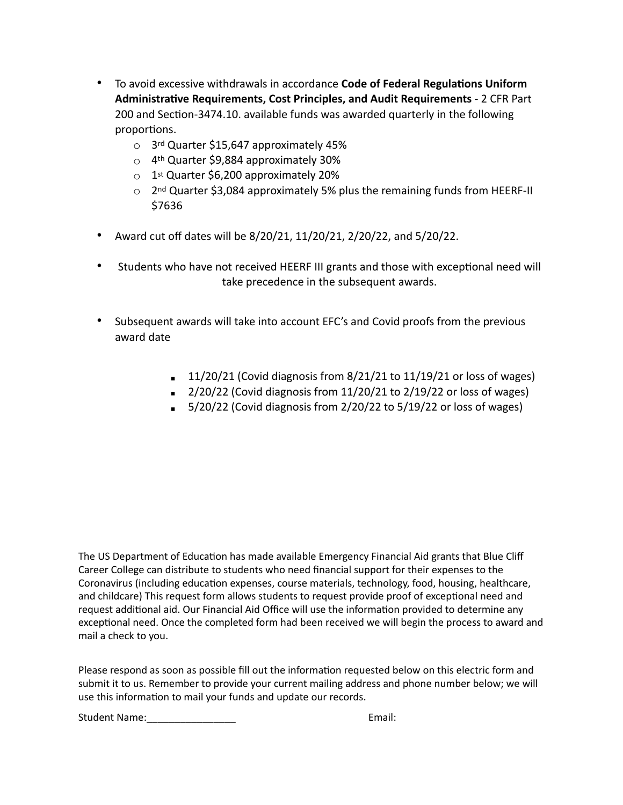- To avoid excessive withdrawals in accordance **Code of Federal Regulations Uniform Administrative Requirements, Cost Principles, and Audit Requirements** - 2 CFR Part 200 and Section-3474.10. available funds was awarded quarterly in the following proportions.
	- o 3rd Quarter \$15,647 approximately 45%
	- $\circ$  4<sup>th</sup> Quarter \$9,884 approximately 30%
	- $\circ$  1<sup>st</sup> Quarter \$6,200 approximately 20%
	- $\circ$  2<sup>nd</sup> Quarter \$3,084 approximately 5% plus the remaining funds from HEERF-II \$7636
- Award cut off dates will be 8/20/21, 11/20/21, 2/20/22, and 5/20/22.
- Students who have not received HEERF III grants and those with exceptional need will take precedence in the subsequent awards.
- Subsequent awards will take into account EFC's and Covid proofs from the previous award date
	- $\blacksquare$  11/20/21 (Covid diagnosis from 8/21/21 to 11/19/21 or loss of wages)
	- $\approx$  2/20/22 (Covid diagnosis from 11/20/21 to 2/19/22 or loss of wages)
	- $\overline{5}/20/22$  (Covid diagnosis from 2/20/22 to 5/19/22 or loss of wages)

The US Department of Education has made available Emergency Financial Aid grants that Blue Cliff Career College can distribute to students who need financial support for their expenses to the Coronavirus (including education expenses, course materials, technology, food, housing, healthcare, and childcare) This request form allows students to request provide proof of exceptional need and request additional aid. Our Financial Aid Office will use the information provided to determine any exceptional need. Once the completed form had been received we will begin the process to award and mail a check to you.

Please respond as soon as possible fill out the information requested below on this electric form and submit it to us. Remember to provide your current mailing address and phone number below; we will use this information to mail your funds and update our records.

Student Name:\_\_\_\_\_\_\_\_\_\_\_\_\_\_\_\_ Email: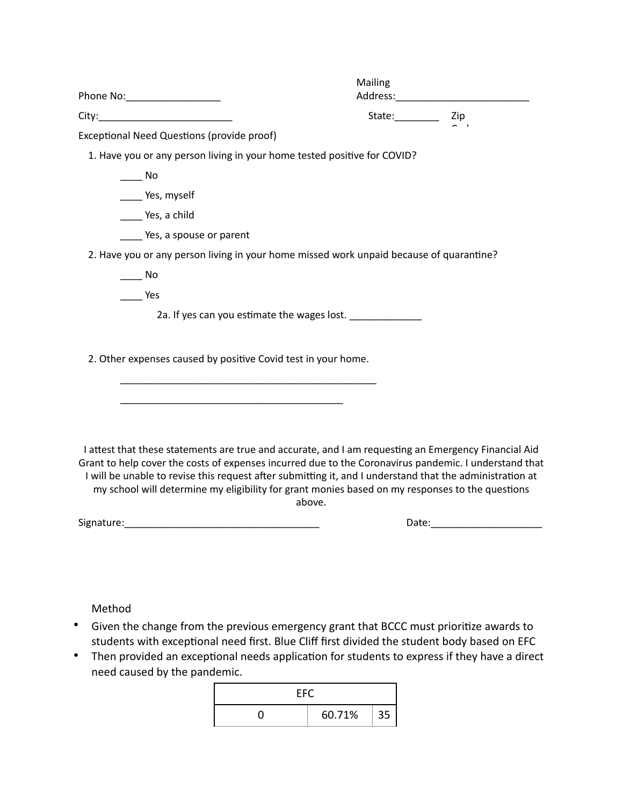| Phone No:_____________________                                                                                                                                                                                                                                                                                                                                                                                               | Mailing |  |
|------------------------------------------------------------------------------------------------------------------------------------------------------------------------------------------------------------------------------------------------------------------------------------------------------------------------------------------------------------------------------------------------------------------------------|---------|--|
|                                                                                                                                                                                                                                                                                                                                                                                                                              |         |  |
| Exceptional Need Questions (provide proof)                                                                                                                                                                                                                                                                                                                                                                                   |         |  |
| 1. Have you or any person living in your home tested positive for COVID?                                                                                                                                                                                                                                                                                                                                                     |         |  |
| $\overline{\phantom{a}}$ No                                                                                                                                                                                                                                                                                                                                                                                                  |         |  |
| _____ Yes, myself                                                                                                                                                                                                                                                                                                                                                                                                            |         |  |
| Yes, a child                                                                                                                                                                                                                                                                                                                                                                                                                 |         |  |
| Yes, a spouse or parent                                                                                                                                                                                                                                                                                                                                                                                                      |         |  |
| 2. Have you or any person living in your home missed work unpaid because of quarantine?                                                                                                                                                                                                                                                                                                                                      |         |  |
| $\overline{\phantom{0}}$ No                                                                                                                                                                                                                                                                                                                                                                                                  |         |  |
| <b>Press</b>                                                                                                                                                                                                                                                                                                                                                                                                                 |         |  |
| 2a. If yes can you estimate the wages lost. ____________                                                                                                                                                                                                                                                                                                                                                                     |         |  |
| 2. Other expenses caused by positive Covid test in your home.                                                                                                                                                                                                                                                                                                                                                                |         |  |
|                                                                                                                                                                                                                                                                                                                                                                                                                              |         |  |
|                                                                                                                                                                                                                                                                                                                                                                                                                              |         |  |
| I attest that these statements are true and accurate, and I am requesting an Emergency Financial Aid<br>Grant to help cover the costs of expenses incurred due to the Coronavirus pandemic. I understand that<br>I will be unable to revise this request after submitting it, and I understand that the administration at<br>my school will determine my eligibility for grant monies based on my responses to the questions | above.  |  |
|                                                                                                                                                                                                                                                                                                                                                                                                                              |         |  |
|                                                                                                                                                                                                                                                                                                                                                                                                                              |         |  |

Method

- Given the change from the previous emergency grant that BCCC must prioritize awards to students with exceptional need first. Blue Cliff first divided the student body based on EFC
- Then provided an exceptional needs application for students to express if they have a direct need caused by the pandemic.

| EFC. |        |    |  |
|------|--------|----|--|
|      | 60.71% | 35 |  |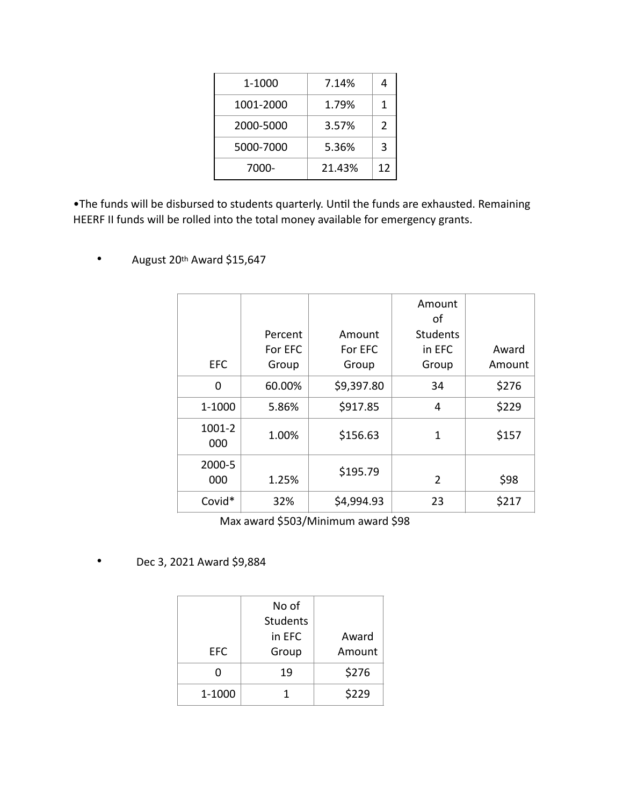| 1-1000    | 7.14%  |               |
|-----------|--------|---------------|
| 1001-2000 | 1.79%  | 1             |
| 2000-5000 | 3.57%  | $\mathcal{P}$ |
| 5000-7000 | 5.36%  | 3             |
| 7000-     | 21.43% | 12            |

•The funds will be disbursed to students quarterly. Until the funds are exhausted. Remaining HEERF II funds will be rolled into the total money available for emergency grants.

- EFC Percent For EFC Group Amount For EFC Group Amount of **Students** in EFC Group Award Amount  $0 \t 60.00\%$  \$9,397.80 34 \$276  $1-1000$  5.86% \$917.85 4 \$229 1001-2 000 1.00%  $\begin{array}{|c|c|c|c|c|c|c|c|} \hline \text{1.00\%} & \text{5156.63} & \text{1} & \text{5157} \ \hline \end{array}$ 2000-5  $\begin{array}{|c|c|c|c|c|}\hline \rule{0pt}{1.2cm} & 1.25\% & \end{array} \hspace{1.2cm} \begin{array}{|c|c|c|c|c|}\hline \rule{0pt}{1.2cm} & 1.25\% & \end{array} \hspace{1.2cm} \begin{array}{|c|c|c|c|c|}\hline \rule{0pt}{1.2cm} & 2 & \end{array} \hspace{1.2cm} \begin{array}{|c|c|c|c|c|}\hline \rule{0pt}{1.2cm} & 598 & \end{array}$ Covid\* 32%  $\binom{32\%}{7}$  \$4,994.93 23  $\binom{32\%}{7}$
- August 20th Award \$15,647

Max award \$503/Minimum award \$98

• Dec 3, 2021 Award \$9,884

|            | No of           |        |
|------------|-----------------|--------|
|            | <b>Students</b> |        |
|            | in EFC          | Award  |
| <b>EFC</b> | Group           | Amount |
| O          | 19              | \$276  |
| 1-1000     |                 | \$229  |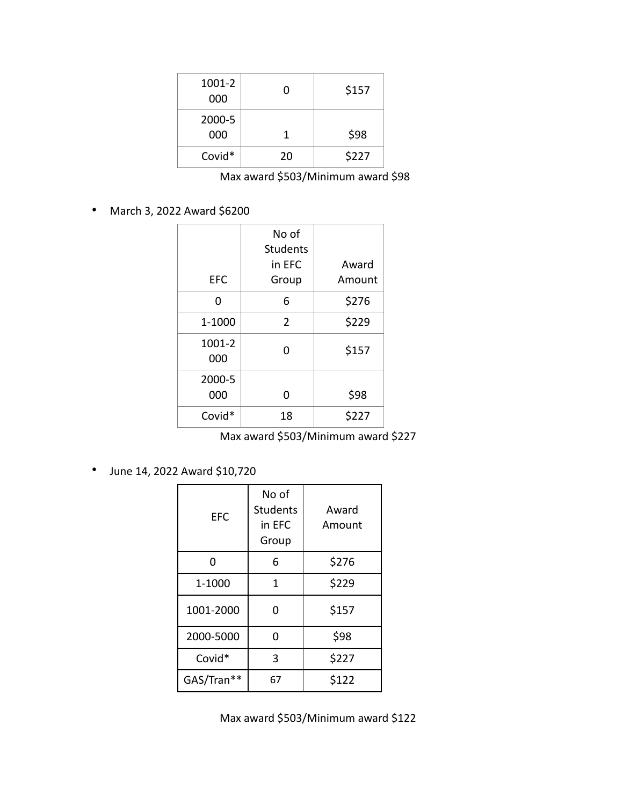| 1001-2<br>000 | n  | \$157 |
|---------------|----|-------|
| 2000-5<br>000 |    | \$98  |
| Covid*        | 20 | \$227 |

Max award \$503/Minimum award \$98

• March 3, 2022 Award \$6200

| <b>EFC</b>    | No of<br><b>Students</b><br>in EFC<br>Group | Award<br>Amount |
|---------------|---------------------------------------------|-----------------|
| 0             | 6                                           | \$276           |
| 1-1000        | $\overline{2}$                              | \$229           |
| 1001-2<br>000 | U                                           | \$157           |
| 2000-5<br>000 | n                                           | \$98            |
| Covid*        | 18                                          | \$227           |

Max award \$503/Minimum award \$227

• June 14, 2022 Award \$10,720

| <b>EFC</b> | No of<br><b>Students</b><br>in EFC<br>Group | Award<br>Amount |
|------------|---------------------------------------------|-----------------|
| ŋ          | 6                                           | \$276           |
| 1-1000     | 1                                           | \$229           |
| 1001-2000  | 0                                           | \$157           |
| 2000-5000  | 0                                           | \$98            |
| Covid*     | 3                                           | \$227           |
| GAS/Tran** | 67                                          | \$122           |

Max award \$503/Minimum award \$122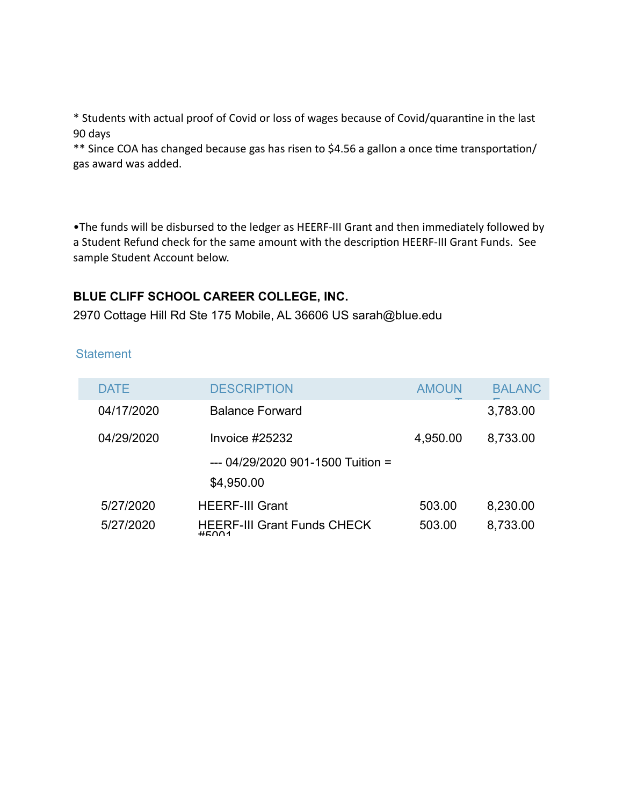\* Students with actual proof of Covid or loss of wages because of Covid/quarantine in the last 90 days

\*\* Since COA has changed because gas has risen to \$4.56 a gallon a once time transportation/ gas award was added.

•The funds will be disbursed to the ledger as HEERF-III Grant and then immediately followed by a Student Refund check for the same amount with the description HEERF-III Grant Funds. See sample Student Account below.

## **BLUE CLIFF SCHOOL CAREER COLLEGE, INC.**

2970 Cottage Hill Rd Ste 175 Mobile, AL 36606 US [sarah@blue.edu](mailto:sarah@blue.edu)

## **Statement**

| DATE       | <b>DESCRIPTION</b>                          | <b>AMOUN</b> | <b>BALANC</b> |
|------------|---------------------------------------------|--------------|---------------|
| 04/17/2020 | <b>Balance Forward</b>                      |              | 3,783.00      |
| 04/29/2020 | Invoice #25232                              | 4,950.00     | 8,733.00      |
|            | $-- 04/29/2020901-1500$ Tuition =           |              |               |
|            | \$4,950.00                                  |              |               |
| 5/27/2020  | <b>HEERF-III Grant</b>                      | 503.00       | 8,230.00      |
| 5/27/2020  | <b>HEERF-III Grant Funds CHECK</b><br>HENO1 | 503.00       | 8,733.00      |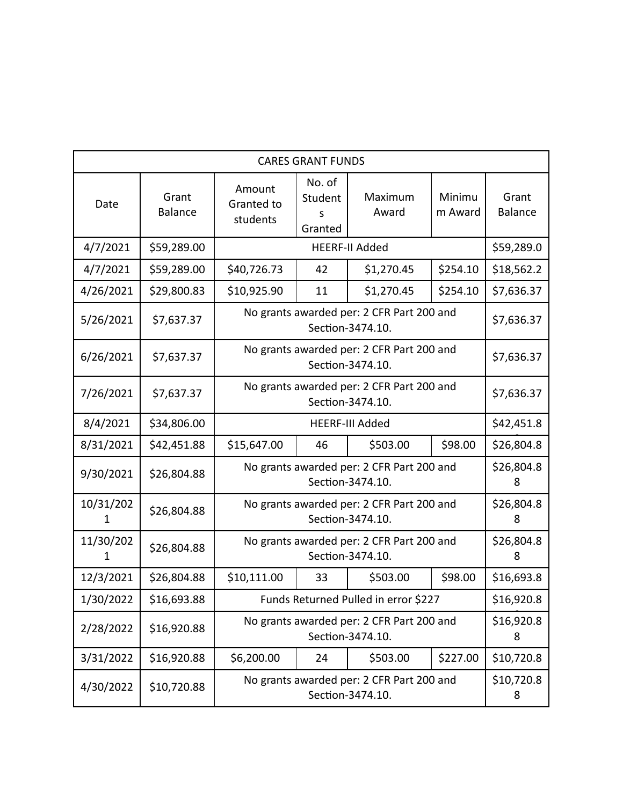| <b>CARES GRANT FUNDS</b> |                         |                                                               |                                                               |                                                               |                   |                         |
|--------------------------|-------------------------|---------------------------------------------------------------|---------------------------------------------------------------|---------------------------------------------------------------|-------------------|-------------------------|
| Date                     | Grant<br><b>Balance</b> | Amount<br>Granted to<br>students                              | No. of<br>Student<br>s<br>Granted                             | Maximum<br>Award                                              | Minimu<br>m Award | Grant<br><b>Balance</b> |
| 4/7/2021                 | \$59,289.00             |                                                               |                                                               | <b>HEERF-II Added</b>                                         |                   | \$59,289.0              |
| 4/7/2021                 | \$59,289.00             | \$40,726.73                                                   | 42                                                            | \$1,270.45                                                    | \$254.10          | \$18,562.2              |
| 4/26/2021                | \$29,800.83             | \$10,925.90                                                   | 11                                                            | \$1,270.45                                                    | \$254.10          | \$7,636.37              |
| 5/26/2021                | \$7,637.37              |                                                               |                                                               | No grants awarded per: 2 CFR Part 200 and<br>Section-3474.10. |                   | \$7,636.37              |
| 6/26/2021                | \$7,637.37              |                                                               | No grants awarded per: 2 CFR Part 200 and<br>Section-3474.10. |                                                               |                   | \$7,636.37              |
| 7/26/2021                | \$7,637.37              |                                                               | No grants awarded per: 2 CFR Part 200 and<br>Section-3474.10. |                                                               |                   | \$7,636.37              |
| 8/4/2021                 | \$34,806.00             |                                                               |                                                               | <b>HEERF-III Added</b>                                        |                   | \$42,451.8              |
| 8/31/2021                | \$42,451.88             | \$15,647.00                                                   | 46                                                            | \$503.00                                                      | \$98.00           | \$26,804.8              |
| 9/30/2021                | \$26,804.88             | No grants awarded per: 2 CFR Part 200 and<br>Section-3474.10. |                                                               |                                                               | \$26,804.8<br>8   |                         |
| 10/31/202<br>1           | \$26,804.88             |                                                               |                                                               | No grants awarded per: 2 CFR Part 200 and<br>Section-3474.10. |                   | \$26,804.8<br>8         |
| 11/30/202<br>1           | \$26,804.88             | No grants awarded per: 2 CFR Part 200 and<br>Section-3474.10. |                                                               |                                                               | \$26,804.8<br>8   |                         |
| 12/3/2021                | \$26,804.88             | \$10,111.00                                                   | 33                                                            | \$503.00                                                      | \$98.00           | \$16,693.8              |
| 1/30/2022                | \$16,693.88             | Funds Returned Pulled in error \$227                          |                                                               |                                                               | \$16,920.8        |                         |
| 2/28/2022                | \$16,920.88             | No grants awarded per: 2 CFR Part 200 and<br>Section-3474.10. |                                                               |                                                               | \$16,920.8<br>8   |                         |
| 3/31/2022                | \$16,920.88             | \$6,200.00                                                    | 24                                                            | \$503.00                                                      | \$227.00          | \$10,720.8              |
| 4/30/2022                | \$10,720.88             | No grants awarded per: 2 CFR Part 200 and<br>Section-3474.10. |                                                               |                                                               | \$10,720.8<br>8   |                         |